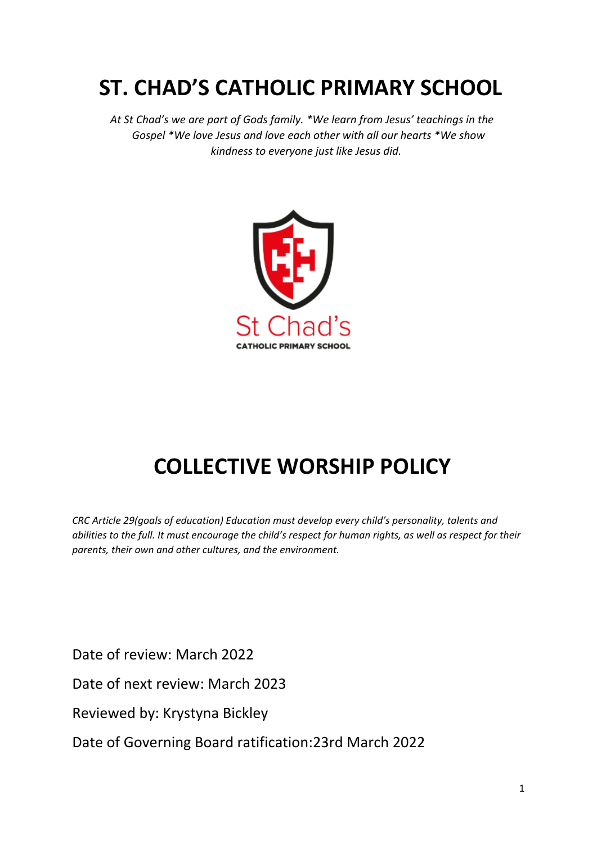# **ST. CHAD'S CATHOLIC PRIMARY SCHOOL**

 *At St Chad's we are part of Gods family. \*We learn from Jesus' teachings in the Gospel \*We love Jesus and love each other with all our hearts \*We show kindness to everyone just like Jesus did.*



# **COLLECTIVE WORSHIP POLICY**

*CRC Article 29(goals of education) Education must develop every child's personality, talents and abilities to the full. It must encourage the child's respect for human rights, as well as respect for their parents, their own and other cultures, and the environment.* 

Date of review: March 2022

Date of next review: March 2023

Reviewed by: Krystyna Bickley

Date of Governing Board ratification:23rd March 2022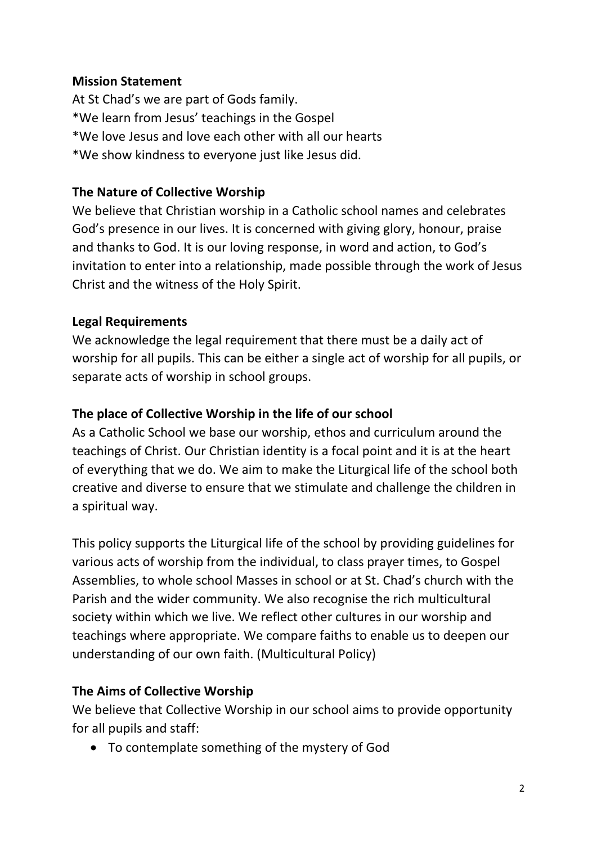#### **Mission Statement**

At St Chad's we are part of Gods family. \*We learn from Jesus' teachings in the Gospel \*We love Jesus and love each other with all our hearts \*We show kindness to everyone just like Jesus did.

#### **The Nature of Collective Worship**

We believe that Christian worship in a Catholic school names and celebrates God's presence in our lives. It is concerned with giving glory, honour, praise and thanks to God. It is our loving response, in word and action, to God's invitation to enter into a relationship, made possible through the work of Jesus Christ and the witness of the Holy Spirit.

#### **Legal Requirements**

We acknowledge the legal requirement that there must be a daily act of worship for all pupils. This can be either a single act of worship for all pupils, or separate acts of worship in school groups.

#### **The place of Collective Worship in the life of our school**

As a Catholic School we base our worship, ethos and curriculum around the teachings of Christ. Our Christian identity is a focal point and it is at the heart of everything that we do. We aim to make the Liturgical life of the school both creative and diverse to ensure that we stimulate and challenge the children in a spiritual way.

This policy supports the Liturgical life of the school by providing guidelines for various acts of worship from the individual, to class prayer times, to Gospel Assemblies, to whole school Masses in school or at St. Chad's church with the Parish and the wider community. We also recognise the rich multicultural society within which we live. We reflect other cultures in our worship and teachings where appropriate. We compare faiths to enable us to deepen our understanding of our own faith. (Multicultural Policy)

#### **The Aims of Collective Worship**

We believe that Collective Worship in our school aims to provide opportunity for all pupils and staff:

• To contemplate something of the mystery of God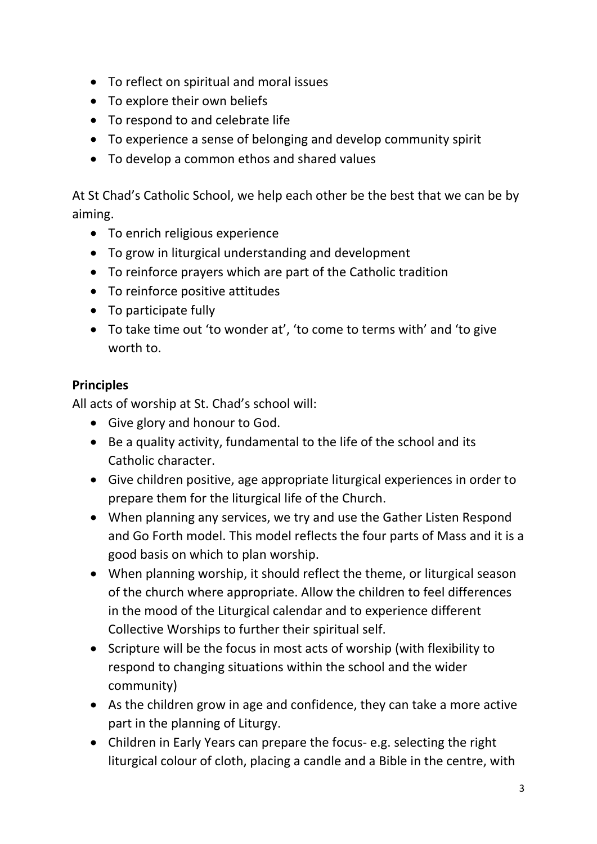- To reflect on spiritual and moral issues
- To explore their own beliefs
- To respond to and celebrate life
- To experience a sense of belonging and develop community spirit
- To develop a common ethos and shared values

At St Chad's Catholic School, we help each other be the best that we can be by aiming.

- To enrich religious experience
- To grow in liturgical understanding and development
- To reinforce prayers which are part of the Catholic tradition
- To reinforce positive attitudes
- To participate fully
- To take time out 'to wonder at', 'to come to terms with' and 'to give worth to.

### **Principles**

All acts of worship at St. Chad's school will:

- Give glory and honour to God.
- Be a quality activity, fundamental to the life of the school and its Catholic character.
- Give children positive, age appropriate liturgical experiences in order to prepare them for the liturgical life of the Church.
- When planning any services, we try and use the Gather Listen Respond and Go Forth model. This model reflects the four parts of Mass and it is a good basis on which to plan worship.
- When planning worship, it should reflect the theme, or liturgical season of the church where appropriate. Allow the children to feel differences in the mood of the Liturgical calendar and to experience different Collective Worships to further their spiritual self.
- Scripture will be the focus in most acts of worship (with flexibility to respond to changing situations within the school and the wider community)
- As the children grow in age and confidence, they can take a more active part in the planning of Liturgy.
- Children in Early Years can prepare the focus- e.g. selecting the right liturgical colour of cloth, placing a candle and a Bible in the centre, with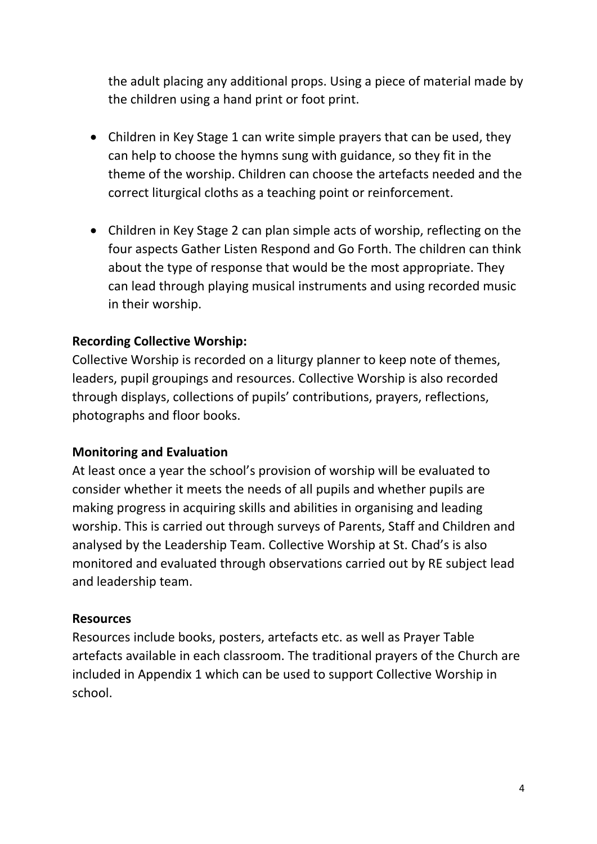the adult placing any additional props. Using a piece of material made by the children using a hand print or foot print.

- Children in Key Stage 1 can write simple prayers that can be used, they can help to choose the hymns sung with guidance, so they fit in the theme of the worship. Children can choose the artefacts needed and the correct liturgical cloths as a teaching point or reinforcement.
- Children in Key Stage 2 can plan simple acts of worship, reflecting on the four aspects Gather Listen Respond and Go Forth. The children can think about the type of response that would be the most appropriate. They can lead through playing musical instruments and using recorded music in their worship.

#### **Recording Collective Worship:**

Collective Worship is recorded on a liturgy planner to keep note of themes, leaders, pupil groupings and resources. Collective Worship is also recorded through displays, collections of pupils' contributions, prayers, reflections, photographs and floor books.

#### **Monitoring and Evaluation**

At least once a year the school's provision of worship will be evaluated to consider whether it meets the needs of all pupils and whether pupils are making progress in acquiring skills and abilities in organising and leading worship. This is carried out through surveys of Parents, Staff and Children and analysed by the Leadership Team. Collective Worship at St. Chad's is also monitored and evaluated through observations carried out by RE subject lead and leadership team.

#### **Resources**

Resources include books, posters, artefacts etc. as well as Prayer Table artefacts available in each classroom. The traditional prayers of the Church are included in Appendix 1 which can be used to support Collective Worship in school.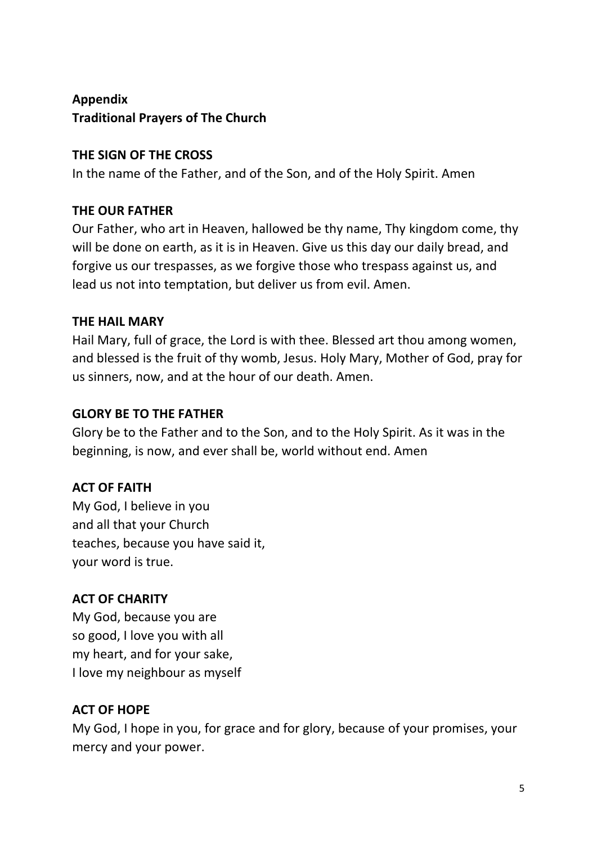## **Appendix Traditional Prayers of The Church**

### **THE SIGN OF THE CROSS**

In the name of the Father, and of the Son, and of the Holy Spirit. Amen

## **THE OUR FATHER**

Our Father, who art in Heaven, hallowed be thy name, Thy kingdom come, thy will be done on earth, as it is in Heaven. Give us this day our daily bread, and forgive us our trespasses, as we forgive those who trespass against us, and lead us not into temptation, but deliver us from evil. Amen.

## **THE HAIL MARY**

Hail Mary, full of grace, the Lord is with thee. Blessed art thou among women, and blessed is the fruit of thy womb, Jesus. Holy Mary, Mother of God, pray for us sinners, now, and at the hour of our death. Amen.

## **GLORY BE TO THE FATHER**

Glory be to the Father and to the Son, and to the Holy Spirit. As it was in the beginning, is now, and ever shall be, world without end. Amen

## **ACT OF FAITH**

My God, I believe in you and all that your Church teaches, because you have said it, your word is true.

## **ACT OF CHARITY**

My God, because you are so good, I love you with all my heart, and for your sake, I love my neighbour as myself

## **ACT OF HOPE**

My God, I hope in you, for grace and for glory, because of your promises, your mercy and your power.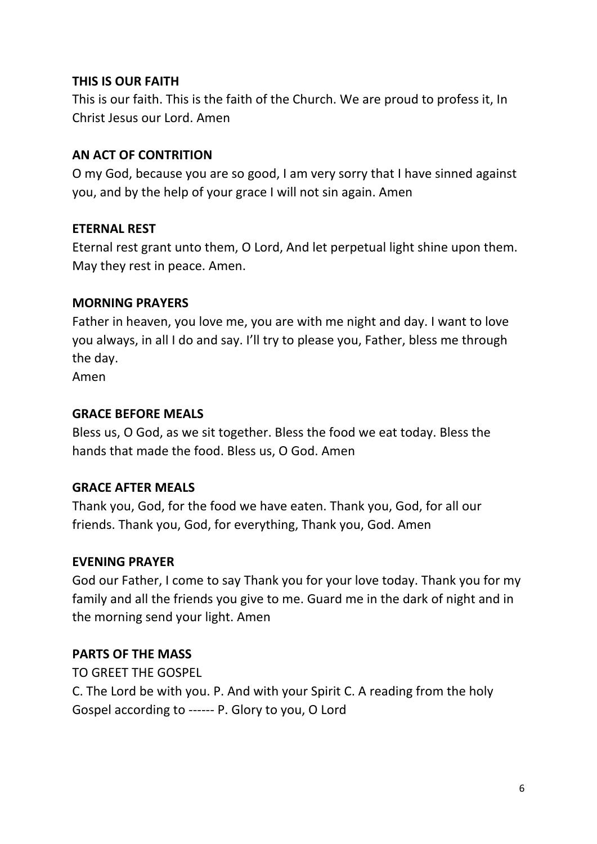#### **THIS IS OUR FAITH**

This is our faith. This is the faith of the Church. We are proud to profess it, In Christ Jesus our Lord. Amen

#### **AN ACT OF CONTRITION**

O my God, because you are so good, I am very sorry that I have sinned against you, and by the help of your grace I will not sin again. Amen

#### **ETERNAL REST**

Eternal rest grant unto them, O Lord, And let perpetual light shine upon them. May they rest in peace. Amen.

#### **MORNING PRAYERS**

Father in heaven, you love me, you are with me night and day. I want to love you always, in all I do and say. I'll try to please you, Father, bless me through the day.

Amen

#### **GRACE BEFORE MEALS**

Bless us, O God, as we sit together. Bless the food we eat today. Bless the hands that made the food. Bless us, O God. Amen

### **GRACE AFTER MEALS**

Thank you, God, for the food we have eaten. Thank you, God, for all our friends. Thank you, God, for everything, Thank you, God. Amen

### **EVENING PRAYER**

God our Father, I come to say Thank you for your love today. Thank you for my family and all the friends you give to me. Guard me in the dark of night and in the morning send your light. Amen

### **PARTS OF THE MASS**

TO GREET THE GOSPEL

C. The Lord be with you. P. And with your Spirit C. A reading from the holy Gospel according to ------ P. Glory to you, O Lord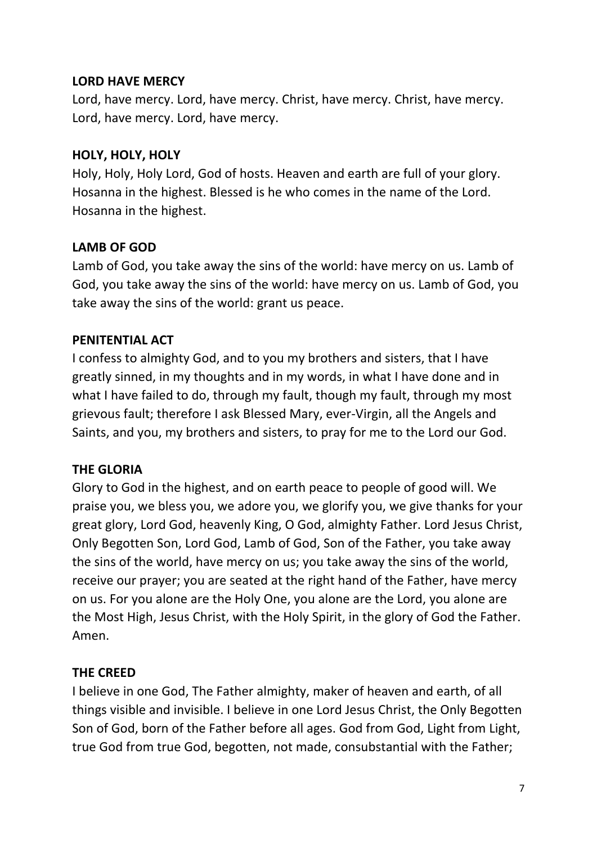#### **LORD HAVE MERCY**

Lord, have mercy. Lord, have mercy. Christ, have mercy. Christ, have mercy. Lord, have mercy. Lord, have mercy.

#### **HOLY, HOLY, HOLY**

Holy, Holy, Holy Lord, God of hosts. Heaven and earth are full of your glory. Hosanna in the highest. Blessed is he who comes in the name of the Lord. Hosanna in the highest.

#### **LAMB OF GOD**

Lamb of God, you take away the sins of the world: have mercy on us. Lamb of God, you take away the sins of the world: have mercy on us. Lamb of God, you take away the sins of the world: grant us peace.

#### **PENITENTIAL ACT**

I confess to almighty God, and to you my brothers and sisters, that I have greatly sinned, in my thoughts and in my words, in what I have done and in what I have failed to do, through my fault, though my fault, through my most grievous fault; therefore I ask Blessed Mary, ever-Virgin, all the Angels and Saints, and you, my brothers and sisters, to pray for me to the Lord our God.

### **THE GLORIA**

Glory to God in the highest, and on earth peace to people of good will. We praise you, we bless you, we adore you, we glorify you, we give thanks for your great glory, Lord God, heavenly King, O God, almighty Father. Lord Jesus Christ, Only Begotten Son, Lord God, Lamb of God, Son of the Father, you take away the sins of the world, have mercy on us; you take away the sins of the world, receive our prayer; you are seated at the right hand of the Father, have mercy on us. For you alone are the Holy One, you alone are the Lord, you alone are the Most High, Jesus Christ, with the Holy Spirit, in the glory of God the Father. Amen.

### **THE CREED**

I believe in one God, The Father almighty, maker of heaven and earth, of all things visible and invisible. I believe in one Lord Jesus Christ, the Only Begotten Son of God, born of the Father before all ages. God from God, Light from Light, true God from true God, begotten, not made, consubstantial with the Father;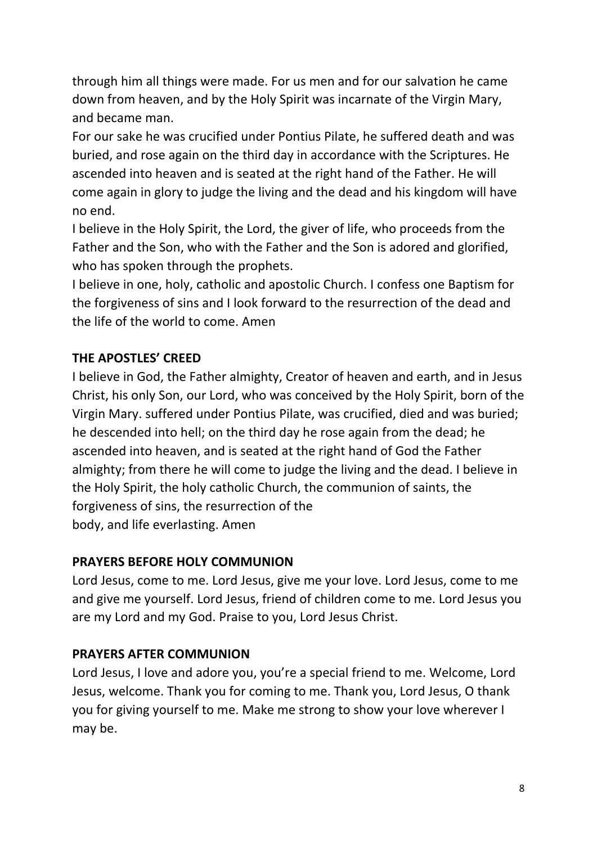through him all things were made. For us men and for our salvation he came down from heaven, and by the Holy Spirit was incarnate of the Virgin Mary, and became man.

For our sake he was crucified under Pontius Pilate, he suffered death and was buried, and rose again on the third day in accordance with the Scriptures. He ascended into heaven and is seated at the right hand of the Father. He will come again in glory to judge the living and the dead and his kingdom will have no end.

I believe in the Holy Spirit, the Lord, the giver of life, who proceeds from the Father and the Son, who with the Father and the Son is adored and glorified, who has spoken through the prophets.

I believe in one, holy, catholic and apostolic Church. I confess one Baptism for the forgiveness of sins and I look forward to the resurrection of the dead and the life of the world to come. Amen

## **THE APOSTLES' CREED**

I believe in God, the Father almighty, Creator of heaven and earth, and in Jesus Christ, his only Son, our Lord, who was conceived by the Holy Spirit, born of the Virgin Mary. suffered under Pontius Pilate, was crucified, died and was buried; he descended into hell; on the third day he rose again from the dead; he ascended into heaven, and is seated at the right hand of God the Father almighty; from there he will come to judge the living and the dead. I believe in the Holy Spirit, the holy catholic Church, the communion of saints, the forgiveness of sins, the resurrection of the body, and life everlasting. Amen

### **PRAYERS BEFORE HOLY COMMUNION**

Lord Jesus, come to me. Lord Jesus, give me your love. Lord Jesus, come to me and give me yourself. Lord Jesus, friend of children come to me. Lord Jesus you are my Lord and my God. Praise to you, Lord Jesus Christ.

### **PRAYERS AFTER COMMUNION**

Lord Jesus, I love and adore you, you're a special friend to me. Welcome, Lord Jesus, welcome. Thank you for coming to me. Thank you, Lord Jesus, O thank you for giving yourself to me. Make me strong to show your love wherever I may be.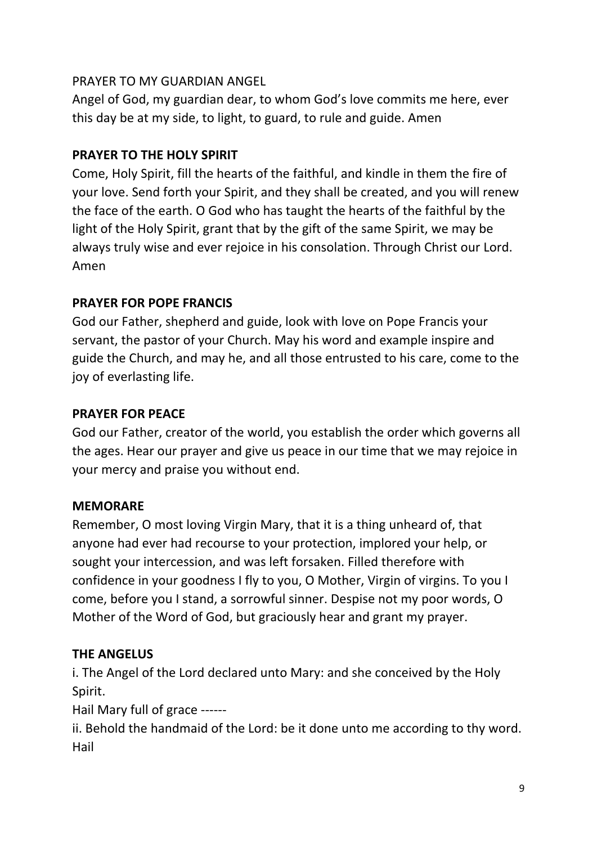### PRAYER TO MY GUARDIAN ANGEL

Angel of God, my guardian dear, to whom God's love commits me here, ever this day be at my side, to light, to guard, to rule and guide. Amen

### **PRAYER TO THE HOLY SPIRIT**

Come, Holy Spirit, fill the hearts of the faithful, and kindle in them the fire of your love. Send forth your Spirit, and they shall be created, and you will renew the face of the earth. O God who has taught the hearts of the faithful by the light of the Holy Spirit, grant that by the gift of the same Spirit, we may be always truly wise and ever rejoice in his consolation. Through Christ our Lord. Amen

### **PRAYER FOR POPE FRANCIS**

God our Father, shepherd and guide, look with love on Pope Francis your servant, the pastor of your Church. May his word and example inspire and guide the Church, and may he, and all those entrusted to his care, come to the joy of everlasting life.

#### **PRAYER FOR PEACE**

God our Father, creator of the world, you establish the order which governs all the ages. Hear our prayer and give us peace in our time that we may rejoice in your mercy and praise you without end.

### **MEMORARE**

Remember, O most loving Virgin Mary, that it is a thing unheard of, that anyone had ever had recourse to your protection, implored your help, or sought your intercession, and was left forsaken. Filled therefore with confidence in your goodness I fly to you, O Mother, Virgin of virgins. To you I come, before you I stand, a sorrowful sinner. Despise not my poor words, O Mother of the Word of God, but graciously hear and grant my prayer.

### **THE ANGELUS**

i. The Angel of the Lord declared unto Mary: and she conceived by the Holy Spirit.

Hail Mary full of grace ------

ii. Behold the handmaid of the Lord: be it done unto me according to thy word. Hail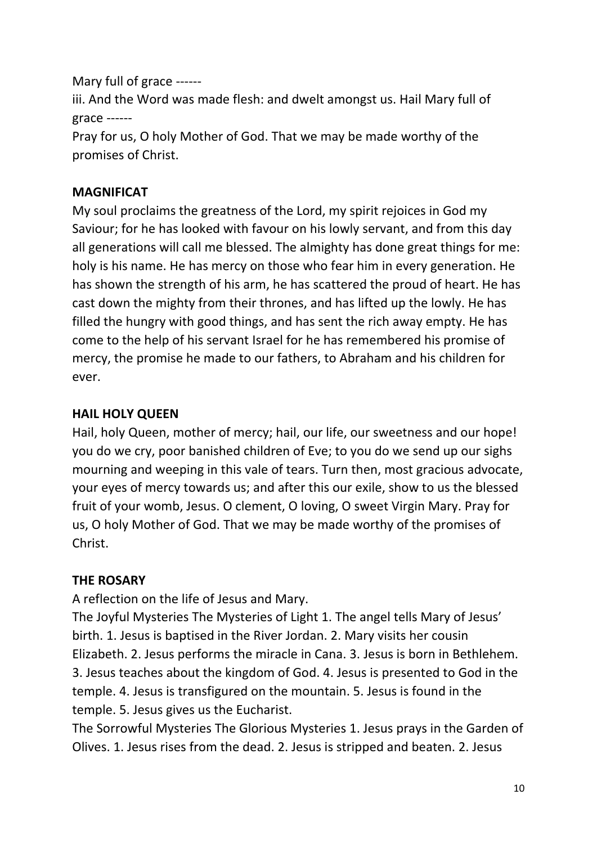Mary full of grace ------

iii. And the Word was made flesh: and dwelt amongst us. Hail Mary full of grace ------

Pray for us, O holy Mother of God. That we may be made worthy of the promises of Christ.

## **MAGNIFICAT**

My soul proclaims the greatness of the Lord, my spirit rejoices in God my Saviour; for he has looked with favour on his lowly servant, and from this day all generations will call me blessed. The almighty has done great things for me: holy is his name. He has mercy on those who fear him in every generation. He has shown the strength of his arm, he has scattered the proud of heart. He has cast down the mighty from their thrones, and has lifted up the lowly. He has filled the hungry with good things, and has sent the rich away empty. He has come to the help of his servant Israel for he has remembered his promise of mercy, the promise he made to our fathers, to Abraham and his children for ever.

### **HAIL HOLY QUEEN**

Hail, holy Queen, mother of mercy; hail, our life, our sweetness and our hope! you do we cry, poor banished children of Eve; to you do we send up our sighs mourning and weeping in this vale of tears. Turn then, most gracious advocate, your eyes of mercy towards us; and after this our exile, show to us the blessed fruit of your womb, Jesus. O clement, O loving, O sweet Virgin Mary. Pray for us, O holy Mother of God. That we may be made worthy of the promises of Christ.

### **THE ROSARY**

A reflection on the life of Jesus and Mary.

The Joyful Mysteries The Mysteries of Light 1. The angel tells Mary of Jesus' birth. 1. Jesus is baptised in the River Jordan. 2. Mary visits her cousin Elizabeth. 2. Jesus performs the miracle in Cana. 3. Jesus is born in Bethlehem. 3. Jesus teaches about the kingdom of God. 4. Jesus is presented to God in the temple. 4. Jesus is transfigured on the mountain. 5. Jesus is found in the temple. 5. Jesus gives us the Eucharist.

The Sorrowful Mysteries The Glorious Mysteries 1. Jesus prays in the Garden of Olives. 1. Jesus rises from the dead. 2. Jesus is stripped and beaten. 2. Jesus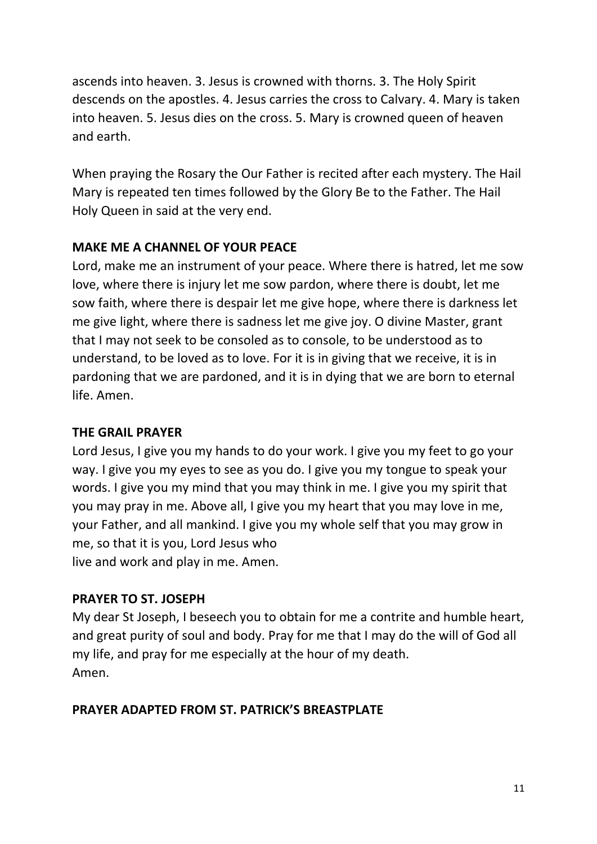ascends into heaven. 3. Jesus is crowned with thorns. 3. The Holy Spirit descends on the apostles. 4. Jesus carries the cross to Calvary. 4. Mary is taken into heaven. 5. Jesus dies on the cross. 5. Mary is crowned queen of heaven and earth.

When praying the Rosary the Our Father is recited after each mystery. The Hail Mary is repeated ten times followed by the Glory Be to the Father. The Hail Holy Queen in said at the very end.

#### **MAKE ME A CHANNEL OF YOUR PEACE**

Lord, make me an instrument of your peace. Where there is hatred, let me sow love, where there is injury let me sow pardon, where there is doubt, let me sow faith, where there is despair let me give hope, where there is darkness let me give light, where there is sadness let me give joy. O divine Master, grant that I may not seek to be consoled as to console, to be understood as to understand, to be loved as to love. For it is in giving that we receive, it is in pardoning that we are pardoned, and it is in dying that we are born to eternal life. Amen.

#### **THE GRAIL PRAYER**

Lord Jesus, I give you my hands to do your work. I give you my feet to go your way. I give you my eyes to see as you do. I give you my tongue to speak your words. I give you my mind that you may think in me. I give you my spirit that you may pray in me. Above all, I give you my heart that you may love in me, your Father, and all mankind. I give you my whole self that you may grow in me, so that it is you, Lord Jesus who live and work and play in me. Amen.

#### **PRAYER TO ST. JOSEPH**

My dear St Joseph, I beseech you to obtain for me a contrite and humble heart, and great purity of soul and body. Pray for me that I may do the will of God all my life, and pray for me especially at the hour of my death. Amen.

#### **PRAYER ADAPTED FROM ST. PATRICK'S BREASTPLATE**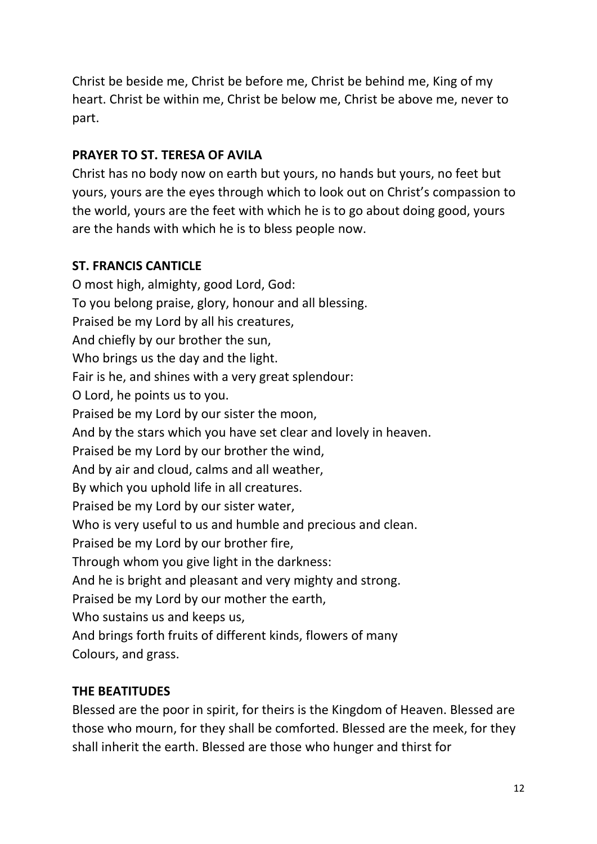Christ be beside me, Christ be before me, Christ be behind me, King of my heart. Christ be within me, Christ be below me, Christ be above me, never to part.

## **PRAYER TO ST. TERESA OF AVILA**

Christ has no body now on earth but yours, no hands but yours, no feet but yours, yours are the eyes through which to look out on Christ's compassion to the world, yours are the feet with which he is to go about doing good, yours are the hands with which he is to bless people now.

### **ST. FRANCIS CANTICLE**

O most high, almighty, good Lord, God: To you belong praise, glory, honour and all blessing. Praised be my Lord by all his creatures, And chiefly by our brother the sun, Who brings us the day and the light. Fair is he, and shines with a very great splendour: O Lord, he points us to you. Praised be my Lord by our sister the moon, And by the stars which you have set clear and lovely in heaven. Praised be my Lord by our brother the wind, And by air and cloud, calms and all weather, By which you uphold life in all creatures. Praised be my Lord by our sister water, Who is very useful to us and humble and precious and clean. Praised be my Lord by our brother fire, Through whom you give light in the darkness: And he is bright and pleasant and very mighty and strong. Praised be my Lord by our mother the earth, Who sustains us and keeps us, And brings forth fruits of different kinds, flowers of many Colours, and grass.

### **THE BEATITUDES**

Blessed are the poor in spirit, for theirs is the Kingdom of Heaven. Blessed are those who mourn, for they shall be comforted. Blessed are the meek, for they shall inherit the earth. Blessed are those who hunger and thirst for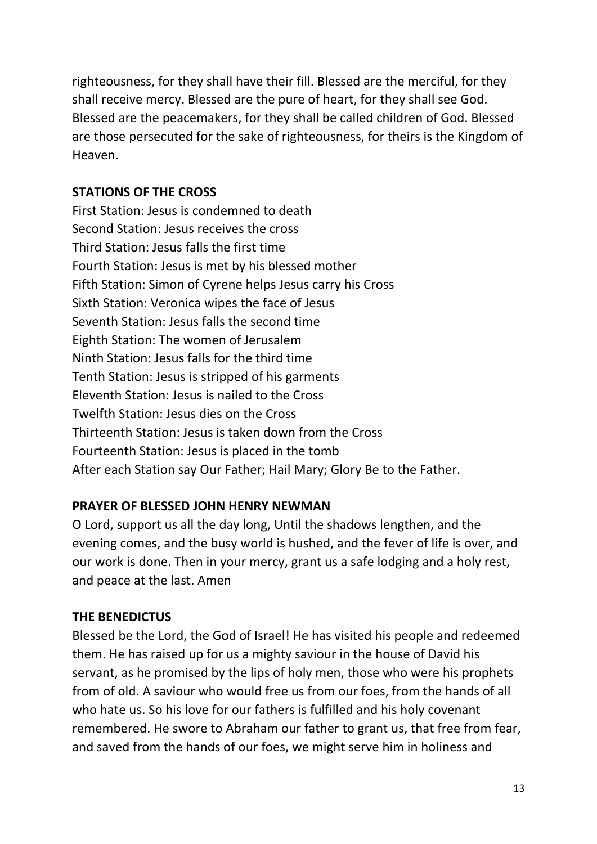righteousness, for they shall have their fill. Blessed are the merciful, for they shall receive mercy. Blessed are the pure of heart, for they shall see God. Blessed are the peacemakers, for they shall be called children of God. Blessed are those persecuted for the sake of righteousness, for theirs is the Kingdom of Heaven.

#### **STATIONS OF THE CROSS**

First Station: Jesus is condemned to death Second Station: Jesus receives the cross Third Station: Jesus falls the first time Fourth Station: Jesus is met by his blessed mother Fifth Station: Simon of Cyrene helps Jesus carry his Cross Sixth Station: Veronica wipes the face of Jesus Seventh Station: Jesus falls the second time Eighth Station: The women of Jerusalem Ninth Station: Jesus falls for the third time Tenth Station: Jesus is stripped of his garments Eleventh Station: Jesus is nailed to the Cross Twelfth Station: Jesus dies on the Cross Thirteenth Station: Jesus is taken down from the Cross Fourteenth Station: Jesus is placed in the tomb After each Station say Our Father; Hail Mary; Glory Be to the Father.

### **PRAYER OF BLESSED JOHN HENRY NEWMAN**

O Lord, support us all the day long, Until the shadows lengthen, and the evening comes, and the busy world is hushed, and the fever of life is over, and our work is done. Then in your mercy, grant us a safe lodging and a holy rest, and peace at the last. Amen

#### **THE BENEDICTUS**

Blessed be the Lord, the God of Israel! He has visited his people and redeemed them. He has raised up for us a mighty saviour in the house of David his servant, as he promised by the lips of holy men, those who were his prophets from of old. A saviour who would free us from our foes, from the hands of all who hate us. So his love for our fathers is fulfilled and his holy covenant remembered. He swore to Abraham our father to grant us, that free from fear, and saved from the hands of our foes, we might serve him in holiness and